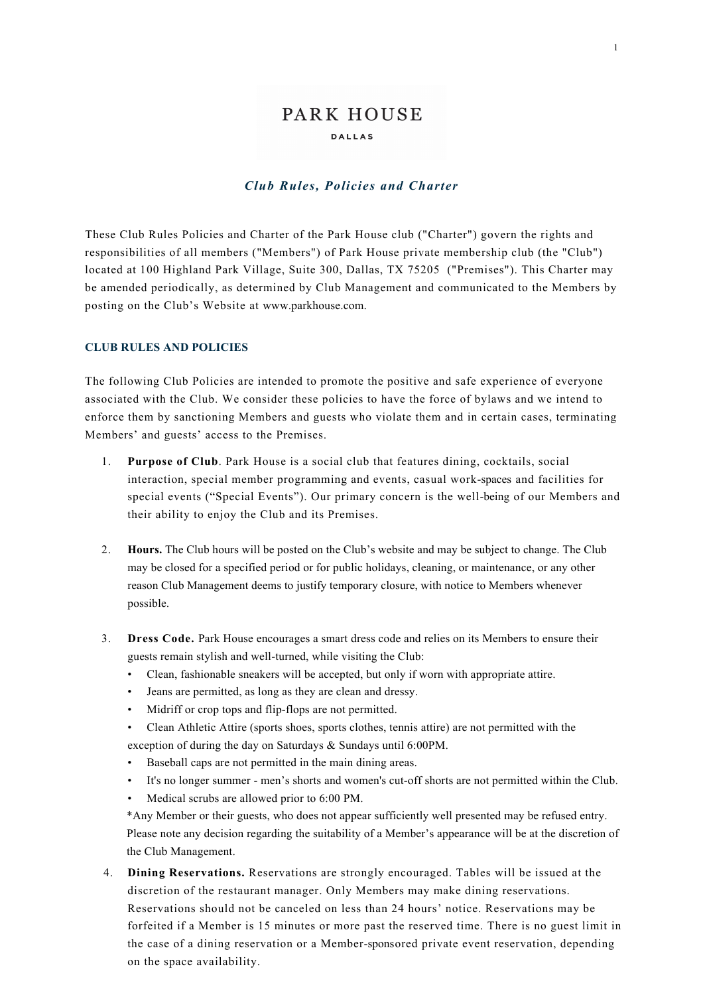# PARK HOUSE **DALLAS**

#### *Club Rules, Policies and Charter*

These Club Rules Policies and Charter of the Park House club ("Charter") govern the rights and responsibilities of all members ("Members") of Park House private membership club (the "Club") located at 100 Highland Park Village, Suite 300, Dallas, TX 75205 ("Premises"). This Charter may be amended periodically, as determined by Club Management and communicated to the Members by posting on the Club's Website at www.parkhouse.com.

## **CLUB RULES AND POLICIES**

The following Club Policies are intended to promote the positive and safe experience of everyone associated with the Club. We consider these policies to have the force of bylaws and we intend to enforce them by sanctioning Members and guests who violate them and in certain cases, terminating Members' and guests' access to the Premises.

- 1. **Purpose of Club**. Park House is a social club that features dining, cocktails, social interaction, special member programming and events, casual work-spaces and facilities for special events ("Special Events"). Our primary concern is the well-being of our Members and their ability to enjoy the Club and its Premises.
- 2. **Hours.** The Club hours will be posted on the Club's website and may be subject to change. The Club may be closed for a specified period or for public holidays, cleaning, or maintenance, or any other reason Club Management deems to justify temporary closure, with notice to Members whenever possible.
- 3. **Dress Code.** Park House encourages a smart dress code and relies on its Members to ensure their guests remain stylish and well-turned, while visiting the Club:
	- Clean, fashionable sneakers will be accepted, but only if worn with appropriate attire.
	- Jeans are permitted, as long as they are clean and dressy.
	- Midriff or crop tops and flip-flops are not permitted.
	- Clean Athletic Attire (sports shoes, sports clothes, tennis attire) are not permitted with the
	- exception of during the day on Saturdays & Sundays until 6:00PM.
	- Baseball caps are not permitted in the main dining areas.
	- It's no longer summer men's shorts and women's cut-off shorts are not permitted within the Club.
	- Medical scrubs are allowed prior to 6:00 PM.

\*Any Member or their guests, who does not appear sufficiently well presented may be refused entry. Please note any decision regarding the suitability of a Member's appearance will be at the discretion of the Club Management.

4. **Dining Reservations.** Reservations are strongly encouraged. Tables will be issued at the discretion of the restaurant manager. Only Members may make dining reservations. Reservations should not be canceled on less than 24 hours' notice. Reservations may be forfeited if a Member is 15 minutes or more past the reserved time. There is no guest limit in the case of a dining reservation or a Member-sponsored private event reservation, depending on the space availability.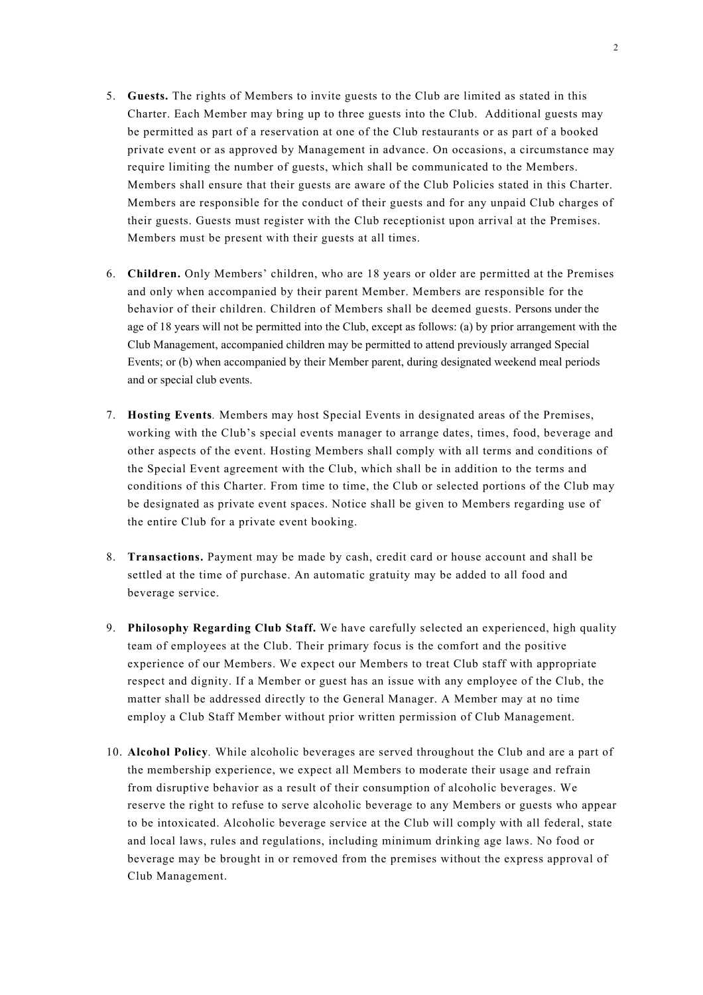- 5. **Guests.** The rights of Members to invite guests to the Club are limited as stated in this Charter. Each Member may bring up to three guests into the Club. Additional guests may be permitted as part of a reservation at one of the Club restaurants or as part of a booked private event or as approved by Management in advance. On occasions, a circumstance may require limiting the number of guests, which shall be communicated to the Members. Members shall ensure that their guests are aware of the Club Policies stated in this Charter. Members are responsible for the conduct of their guests and for any unpaid Club charges of their guests. Guests must register with the Club receptionist upon arrival at the Premises. Members must be present with their guests at all times.
- 6. **Children.** Only Members' children, who are 18 years or older are permitted at the Premises and only when accompanied by their parent Member. Members are responsible for the behavior of their children. Children of Members shall be deemed guests. Persons under the age of 18 years will not be permitted into the Club, except as follows: (a) by prior arrangement with the Club Management, accompanied children may be permitted to attend previously arranged Special Events; or (b) when accompanied by their Member parent, during designated weekend meal periods and or special club events.
- 7. **Hosting Events***.* Members may host Special Events in designated areas of the Premises, working with the Club's special events manager to arrange dates, times, food, beverage and other aspects of the event. Hosting Members shall comply with all terms and conditions of the Special Event agreement with the Club, which shall be in addition to the terms and conditions of this Charter. From time to time, the Club or selected portions of the Club may be designated as private event spaces. Notice shall be given to Members regarding use of the entire Club for a private event booking.
- 8. **Transactions.** Payment may be made by cash, credit card or house account and shall be settled at the time of purchase. An automatic gratuity may be added to all food and beverage service.
- 9. **Philosophy Regarding Club Staff.** We have carefully selected an experienced, high quality team of employees at the Club. Their primary focus is the comfort and the positive experience of our Members. We expect our Members to treat Club staff with appropriate respect and dignity. If a Member or guest has an issue with any employee of the Club, the matter shall be addressed directly to the General Manager. A Member may at no time employ a Club Staff Member without prior written permission of Club Management.
- 10. **Alcohol Policy***.* While alcoholic beverages are served throughout the Club and are a part of the membership experience, we expect all Members to moderate their usage and refrain from disruptive behavior as a result of their consumption of alcoholic beverages. We reserve the right to refuse to serve alcoholic beverage to any Members or guests who appear to be intoxicated. Alcoholic beverage service at the Club will comply with all federal, state and local laws, rules and regulations, including minimum drinking age laws. No food or beverage may be brought in or removed from the premises without the express approval of Club Management.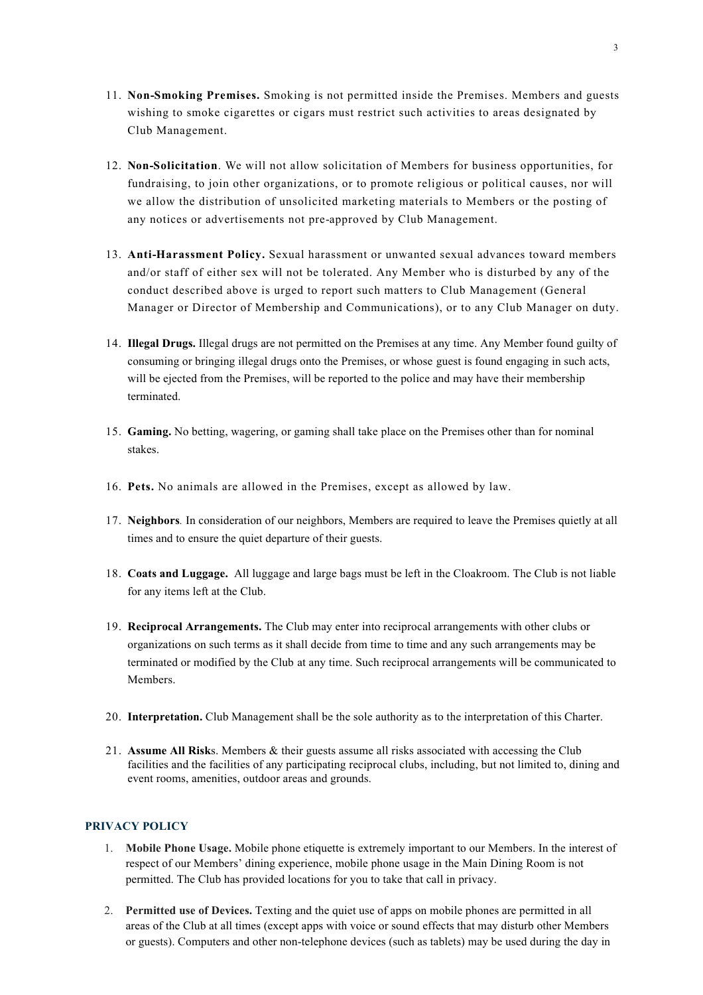- 11. **Non-Smoking Premises.** Smoking is not permitted inside the Premises. Members and guests wishing to smoke cigarettes or cigars must restrict such activities to areas designated by Club Management.
- 12. **Non-Solicitation**. We will not allow solicitation of Members for business opportunities, for fundraising, to join other organizations, or to promote religious or political causes, nor will we allow the distribution of unsolicited marketing materials to Members or the posting of any notices or advertisements not pre-approved by Club Management.
- 13. **Anti-Harassment Policy.** Sexual harassment or unwanted sexual advances toward members and/or staff of either sex will not be tolerated. Any Member who is disturbed by any of the conduct described above is urged to report such matters to Club Management (General Manager or Director of Membership and Communications), or to any Club Manager on duty.
- 14. **Illegal Drugs.** Illegal drugs are not permitted on the Premises at any time. Any Member found guilty of consuming or bringing illegal drugs onto the Premises, or whose guest is found engaging in such acts, will be ejected from the Premises, will be reported to the police and may have their membership terminated.
- 15. **Gaming.** No betting, wagering, or gaming shall take place on the Premises other than for nominal stakes.
- 16. **Pets.** No animals are allowed in the Premises, except as allowed by law.
- 17. **Neighbors***.* In consideration of our neighbors, Members are required to leave the Premises quietly at all times and to ensure the quiet departure of their guests.
- 18. **Coats and Luggage.** All luggage and large bags must be left in the Cloakroom. The Club is not liable for any items left at the Club.
- 19. **Reciprocal Arrangements.** The Club may enter into reciprocal arrangements with other clubs or organizations on such terms as it shall decide from time to time and any such arrangements may be terminated or modified by the Club at any time. Such reciprocal arrangements will be communicated to Members.
- 20. **Interpretation.** Club Management shall be the sole authority as to the interpretation of this Charter.
- 21. **Assume All Risk**s. Members & their guests assume all risks associated with accessing the Club facilities and the facilities of any participating reciprocal clubs, including, but not limited to, dining and event rooms, amenities, outdoor areas and grounds.

### **PRIVACY POLICY**

- 1. **Mobile Phone Usage.** Mobile phone etiquette is extremely important to our Members. In the interest of respect of our Members' dining experience, mobile phone usage in the Main Dining Room is not permitted. The Club has provided locations for you to take that call in privacy.
- 2. **Permitted use of Devices.** Texting and the quiet use of apps on mobile phones are permitted in all areas of the Club at all times (except apps with voice or sound effects that may disturb other Members or guests). Computers and other non-telephone devices (such as tablets) may be used during the day in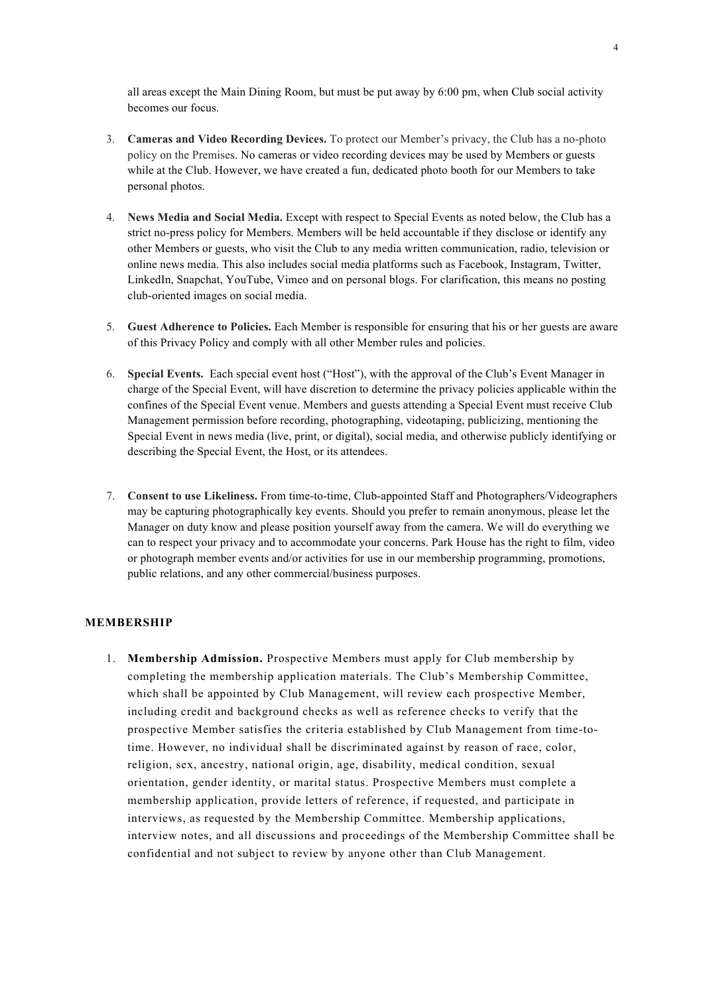all areas except the Main Dining Room, but must be put away by 6:00 pm, when Club social activity becomes our focus.

- 3. **Cameras and Video Recording Devices.** To protect our Member's privacy, the Club has a no-photo policy on the Premises. No cameras or video recording devices may be used by Members or guests while at the Club. However, we have created a fun, dedicated photo booth for our Members to take personal photos.
- 4. **News Media and Social Media.** Except with respect to Special Events as noted below, the Club has a strict no-press policy for Members. Members will be held accountable if they disclose or identify any other Members or guests, who visit the Club to any media written communication, radio, television or online news media. This also includes social media platforms such as Facebook, Instagram, Twitter, LinkedIn, Snapchat, YouTube, Vimeo and on personal blogs. For clarification, this means no posting club-oriented images on social media.
- 5. **Guest Adherence to Policies.** Each Member is responsible for ensuring that his or her guests are aware of this Privacy Policy and comply with all other Member rules and policies.
- 6. **Special Events.** Each special event host ("Host"), with the approval of the Club's Event Manager in charge of the Special Event, will have discretion to determine the privacy policies applicable within the confines of the Special Event venue. Members and guests attending a Special Event must receive Club Management permission before recording, photographing, videotaping, publicizing, mentioning the Special Event in news media (live, print, or digital), social media, and otherwise publicly identifying or describing the Special Event, the Host, or its attendees.
- 7. **Consent to use Likeliness.** From time-to-time, Club-appointed Staff and Photographers/Videographers may be capturing photographically key events. Should you prefer to remain anonymous, please let the Manager on duty know and please position yourself away from the camera. We will do everything we can to respect your privacy and to accommodate your concerns. Park House has the right to film, video or photograph member events and/or activities for use in our membership programming, promotions, public relations, and any other commercial/business purposes.

#### **MEMBERSHIP**

1. **Membership Admission.** Prospective Members must apply for Club membership by completing the membership application materials. The Club's Membership Committee, which shall be appointed by Club Management, will review each prospective Member, including credit and background checks as well as reference checks to verify that the prospective Member satisfies the criteria established by Club Management from time-totime. However, no individual shall be discriminated against by reason of race, color, religion, sex, ancestry, national origin, age, disability, medical condition, sexual orientation, gender identity, or marital status. Prospective Members must complete a membership application, provide letters of reference, if requested, and participate in interviews, as requested by the Membership Committee. Membership applications, interview notes, and all discussions and proceedings of the Membership Committee shall be confidential and not subject to review by anyone other than Club Management.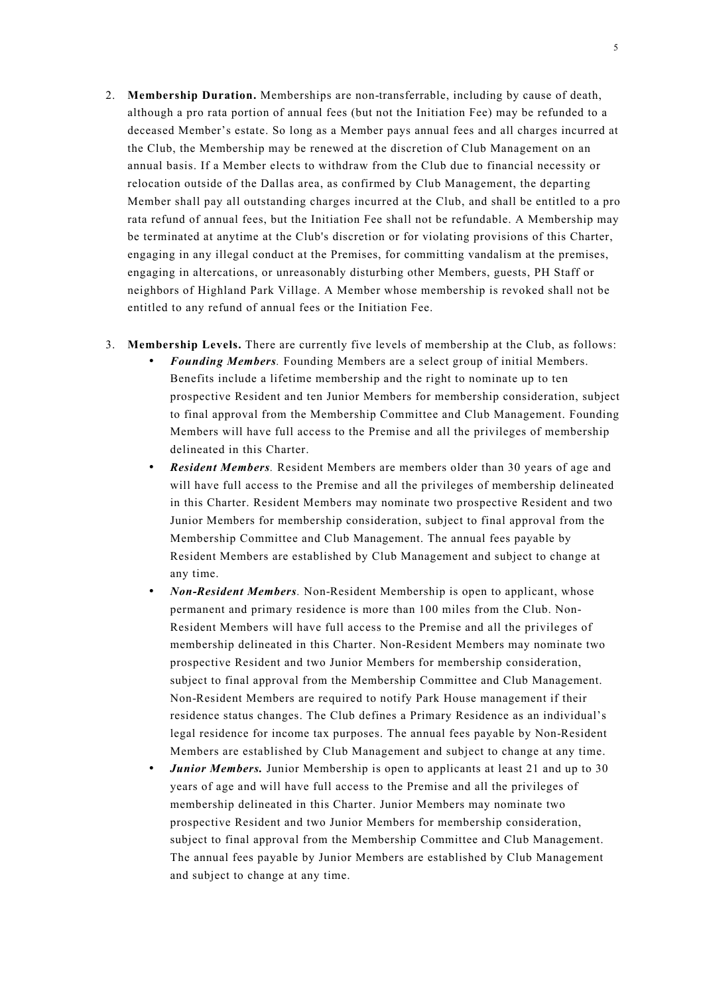- 2. **Membership Duration.** Memberships are non-transferrable, including by cause of death, although a pro rata portion of annual fees (but not the Initiation Fee) may be refunded to a deceased Member's estate. So long as a Member pays annual fees and all charges incurred at the Club, the Membership may be renewed at the discretion of Club Management on an annual basis. If a Member elects to withdraw from the Club due to financial necessity or relocation outside of the Dallas area, as confirmed by Club Management, the departing Member shall pay all outstanding charges incurred at the Club, and shall be entitled to a pro rata refund of annual fees, but the Initiation Fee shall not be refundable. A Membership may be terminated at anytime at the Club's discretion or for violating provisions of this Charter, engaging in any illegal conduct at the Premises, for committing vandalism at the premises, engaging in altercations, or unreasonably disturbing other Members, guests, PH Staff or neighbors of Highland Park Village. A Member whose membership is revoked shall not be entitled to any refund of annual fees or the Initiation Fee.
- 3. **Membership Levels.** There are currently five levels of membership at the Club, as follows:
	- *Founding Members.* Founding Members are a select group of initial Members. Benefits include a lifetime membership and the right to nominate up to ten prospective Resident and ten Junior Members for membership consideration, subject to final approval from the Membership Committee and Club Management. Founding Members will have full access to the Premise and all the privileges of membership delineated in this Charter.
	- *Resident Members.* Resident Members are members older than 30 years of age and will have full access to the Premise and all the privileges of membership delineated in this Charter. Resident Members may nominate two prospective Resident and two Junior Members for membership consideration, subject to final approval from the Membership Committee and Club Management. The annual fees payable by Resident Members are established by Club Management and subject to change at any time.
	- *Non-Resident Members.* Non-Resident Membership is open to applicant, whose permanent and primary residence is more than 100 miles from the Club. Non-Resident Members will have full access to the Premise and all the privileges of membership delineated in this Charter. Non-Resident Members may nominate two prospective Resident and two Junior Members for membership consideration, subject to final approval from the Membership Committee and Club Management. Non-Resident Members are required to notify Park House management if their residence status changes. The Club defines a Primary Residence as an individual's legal residence for income tax purposes. The annual fees payable by Non-Resident Members are established by Club Management and subject to change at any time.
	- *Junior Members.* Junior Membership is open to applicants at least 21 and up to 30 years of age and will have full access to the Premise and all the privileges of membership delineated in this Charter. Junior Members may nominate two prospective Resident and two Junior Members for membership consideration, subject to final approval from the Membership Committee and Club Management. The annual fees payable by Junior Members are established by Club Management and subject to change at any time.